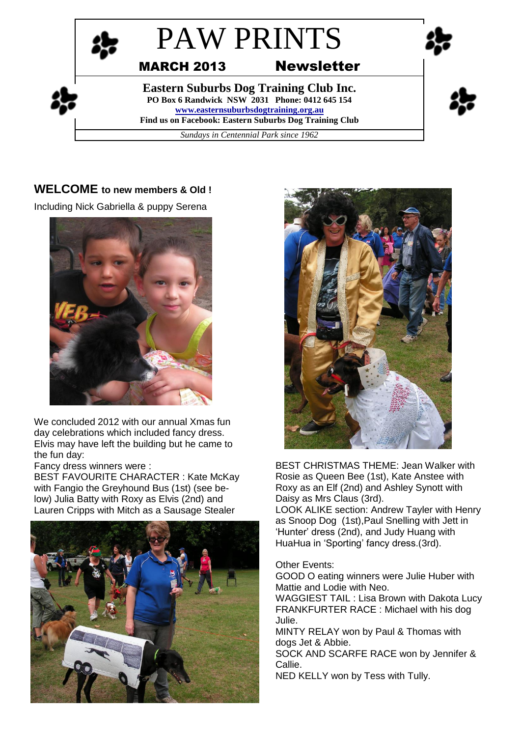

## **WELCOME to new members & Old !**

Including Nick Gabriella & puppy Serena



We concluded 2012 with our annual Xmas fun day celebrations which included fancy dress. Elvis may have left the building but he came to the fun day:

Fancy dress winners were :

BEST FAVOURITE CHARACTER : Kate McKay with Fangio the Greyhound Bus (1st) (see below) Julia Batty with Roxy as Elvis (2nd) and Lauren Cripps with Mitch as a Sausage Stealer





BEST CHRISTMAS THEME: Jean Walker with Rosie as Queen Bee (1st), Kate Anstee with Roxy as an Elf (2nd) and Ashley Synott with Daisy as Mrs Claus (3rd).

LOOK ALIKE section: Andrew Tayler with Henry as Snoop Dog (1st),Paul Snelling with Jett in 'Hunter' dress (2nd), and Judy Huang with HuaHua in 'Sporting' fancy dress.(3rd).

### Other Events:

GOOD O eating winners were Julie Huber with Mattie and Lodie with Neo.

WAGGIEST TAIL : Lisa Brown with Dakota Lucy FRANKFURTER RACE : Michael with his dog Julie.

MINTY RELAY won by Paul & Thomas with dogs Jet & Abbie.

SOCK AND SCARFE RACE won by Jennifer & Callie.

NED KELLY won by Tess with Tully.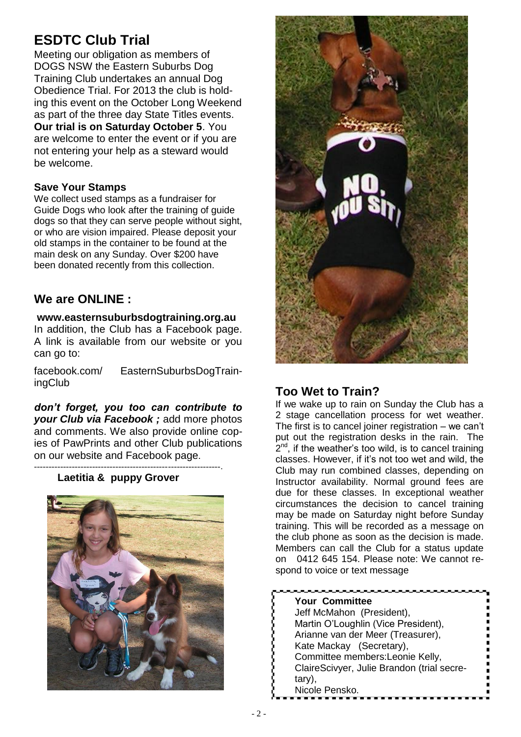# **ESDTC Club Trial**

Meeting our obligation as members of DOGS NSW the Eastern Suburbs Dog Training Club undertakes an annual Dog Obedience Trial. For 2013 the club is holding this event on the October Long Weekend as part of the three day State Titles events. **Our trial is on Saturday October 5**. You are welcome to enter the event or if you are not entering your help as a steward would be welcome.

### **Save Your Stamps**

We collect used stamps as a fundraiser for Guide Dogs who look after the training of guide dogs so that they can serve people without sight, or who are vision impaired. Please deposit your old stamps in the container to be found at the main desk on any Sunday. Over \$200 have been donated recently from this collection.

# **We are ONLINE :**

### **www.easternsuburbsdogtraining.org.au**

In addition, the Club has a Facebook page. A link is available from our website or you can go to:

facebook.com/ EasternSuburbsDogTrainingClub

*don't forget, you too can contribute to your Club via Facebook ;* add more photos and comments. We also provide online copies of PawPrints and other Club publications on our website and Facebook page.

#### ----------------------------------------------------------------.  **Laetitia & puppy Grover**





# **Too Wet to Train?**

If we wake up to rain on Sunday the Club has a 2 stage cancellation process for wet weather. The first is to cancel joiner registration – we can't put out the registration desks in the rain. The  $2^{nd}$ , if the weather's too wild, is to cancel training classes. However, if it's not too wet and wild, the Club may run combined classes, depending on Instructor availability. Normal ground fees are due for these classes. In exceptional weather circumstances the decision to cancel training may be made on Saturday night before Sunday training. This will be recorded as a message on the club phone as soon as the decision is made. Members can call the Club for a status update on 0412 645 154. Please note: We cannot respond to voice or text message

| <b>Your Committee</b>                      |
|--------------------------------------------|
| Jeff McMahon (President),                  |
| Martin O'Loughlin (Vice President),        |
| Arianne van der Meer (Treasurer),          |
| Kate Mackay (Secretary),                   |
| Committee members: Leonie Kelly,           |
| ClaireScivyer, Julie Brandon (trial secre- |
| tary),                                     |
| Nicole Pensko.                             |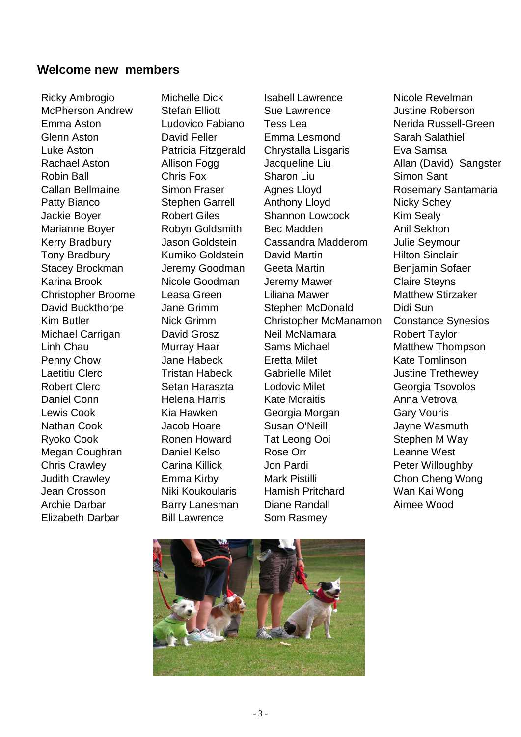## **Welcome new members**

Elizabeth Darbar Bill Lawrence Som Rasmey

Ricky Ambrogio Michelle Dick Isabell Lawrence Nicole Revelman

McPherson Andrew Stefan Elliott Sue Lawrence Sustine Roberson Emma Aston Ludovico Fabiano Tess Lea Nerida Russell-Green Glenn Aston David Feller Emma Lesmond Sarah Salathiel Luke Aston Patricia Fitzgerald Chrystalla Lisgaris Eva Samsa Robin Ball Chris Fox Sharon Liu Simon Sant Patty Bianco Stephen Garrell Anthony Lloyd Nicky Schey Jackie Boyer **Robert Giles** Shannon Lowcock Kim Sealy Marianne Boyer **Robyn Goldsmith** Bec Madden Anil Sekhon Kerry Bradbury Jason Goldstein Cassandra Madderom Julie Seymour Tony Bradbury **Kumiko Goldstein** David Martin **Nights Hilton Sinclair** Stacey Brockman Jeremy Goodman Geeta Martin Benjamin Sofaer Karina Brook **Nicole Goodman** Jeremy Mawer Claire Stevns Christopher Broome Leasa Green Liliana Mawer Matthew Stirzaker David Buckthorpe Jane Grimm Stephen McDonald Didi Sun Kim Butler **Nick Grimm** Christopher McManamon Constance Synesios Michael Carrigan **David Grosz** Neil McNamara Robert Taylor Linh Chau **Murray Haar** Sams Michael Matthew Thompson Penny Chow **Jane Habeck** Eretta Milet **Example 20 Kate Tomlinson** Laetitiu Clerc **Tristan Habeck** Gabrielle Milet Gabrielle Hassettine Trethewey Robert Clerc **Setan Haraszta** Lodovic Milet Cleorgia Tsovolos Daniel Conn **Helena Harris** Kate Moraitis Anna Vetrova Lewis Cook **Kia Hawken** Georgia Morgan Gary Vouris Nathan Cook Jacob Hoare Susan O'Neill Jayne Wasmuth Ryoko Cook **Ronen Howard** Tat Leong Ooi Stephen M Way Megan Coughran Daniel Kelso Rose Orr Channe West Chris Crawley **Carina Killick** Jon Pardi Peter Willoughby Judith Crawley **Emma Kirby** Mark Pistilli Chon Cheng Wong Jean Crosson Niki Koukoularis Hamish Pritchard Wan Kai Wong Archie Darbar **Barry Lanesman** Diane Randall **Aimee Wood** 

Rachael Aston **Allison Fogg Callacteria Liu** Allan (David) Sangster Callan Bellmaine Simon Fraser Agnes Lloyd Rosemary Santamaria